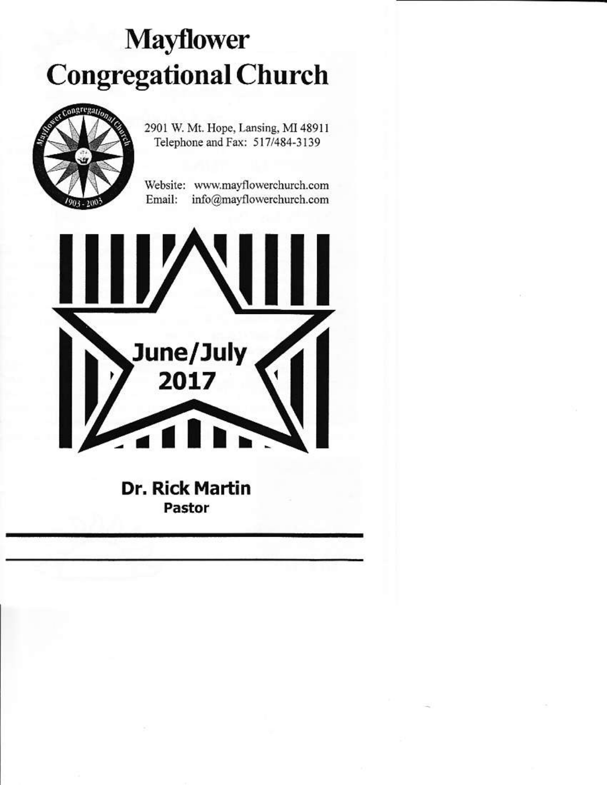# **Mayflower Congregational Church**



2901 W. Mt. Hope, Lansing, MI 48911 Telephone and Fax: 517/484-3139

Website: www.mayflowerchurch.com Email: info@mayflowerchurch.com



**Dr. Rick Martin** Pastor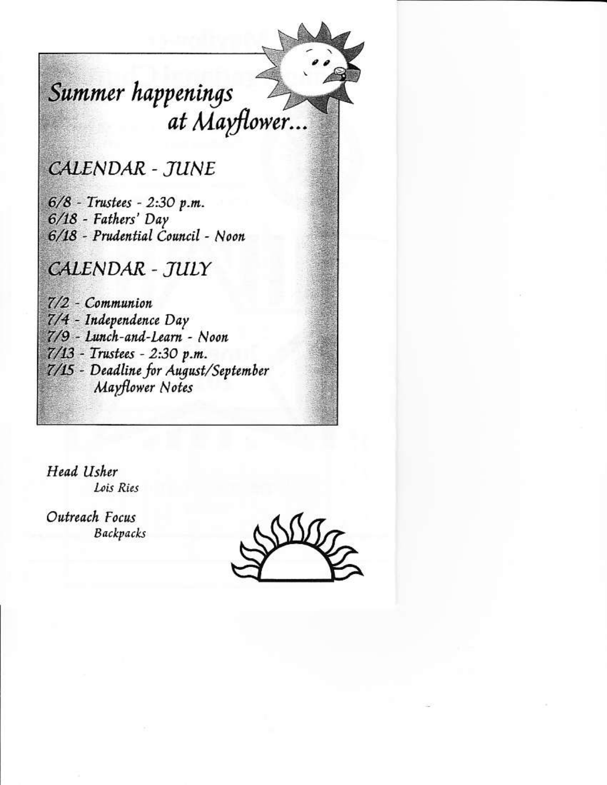## Summer happenings at Mayflower...

**CALENDAR - JUNE** 

6/8 - Trustees - 2:30 p.m. 6/18 - Fathers' Day 6/18 - Prudential Council - Noon

**CALENDAR - TULY** 

 $7/2$  - Communion 7/4 - Independence Day 7/9 - Lunch-and-Learn - Noon 7/13 - Trustees - 2:30 p.m. 7/15 - Deadline for August/September Mayflower Notes

Head Usher Lois Ries

Outreach Focus **Backpacks** 

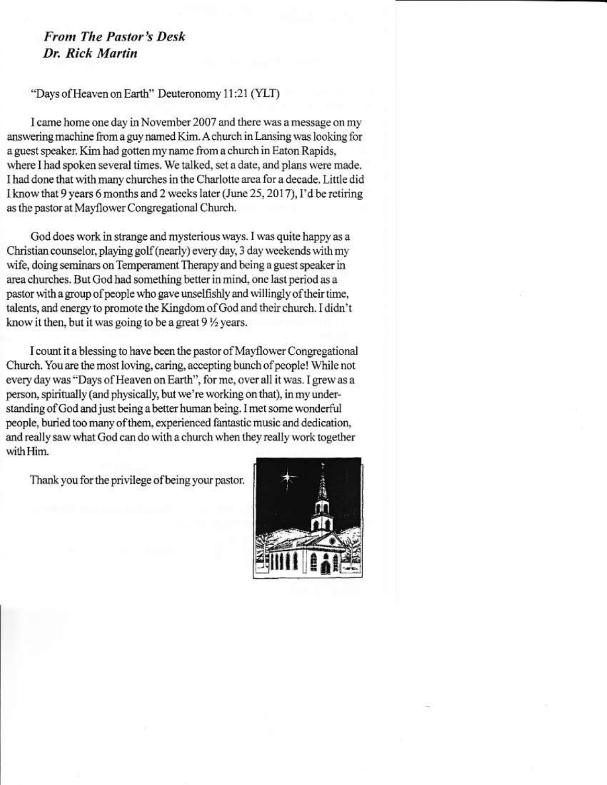#### **From The Pastor's Desk** Dr. Rick Martin

#### "Days of Heaven on Earth" Deuteronomy 11:21 (YLT)

I came home one day in November 2007 and there was a message on my answering machine from a guv named Kim. A church in Lansing was looking for a guest speaker. Kim had gotten my name from a church in Eaton Rapids, where I had spoken several times. We talked, set a date, and plans were made. I had done that with many churches in the Charlotte area for a decade. Little did I know that 9 years 6 months and 2 weeks later (June 25, 2017), I'd be retiring as the pastor at Mayflower Congregational Church.

God does work in strange and mysterious ways. I was quite happy as a Christian counselor, playing golf (nearly) every day, 3 day weekends with my wife, doing seminars on Temperament Therapy and being a guest speaker in area churches. But God had something better in mind, one last period as a pastor with a group of people who gave unselfishly and willingly of their time, talents, and energy to promote the Kingdom of God and their church. I didn't know it then, but it was going to be a great 9 1/2 years.

I count it a blessing to have been the pastor of Mayflower Congregational Church. You are the most loving, caring, accepting bunch of people! While not every day was "Days of Heaven on Earth", for me, over all it was. I grew as a person, spiritually (and physically, but we're working on that), in my understanding of God and just being a better human being. I met some wonderful people, buried too many of them, experienced fantastic music and dedication, and really saw what God can do with a church when they really work together with Him.

Thank you for the privilege of being your pastor.

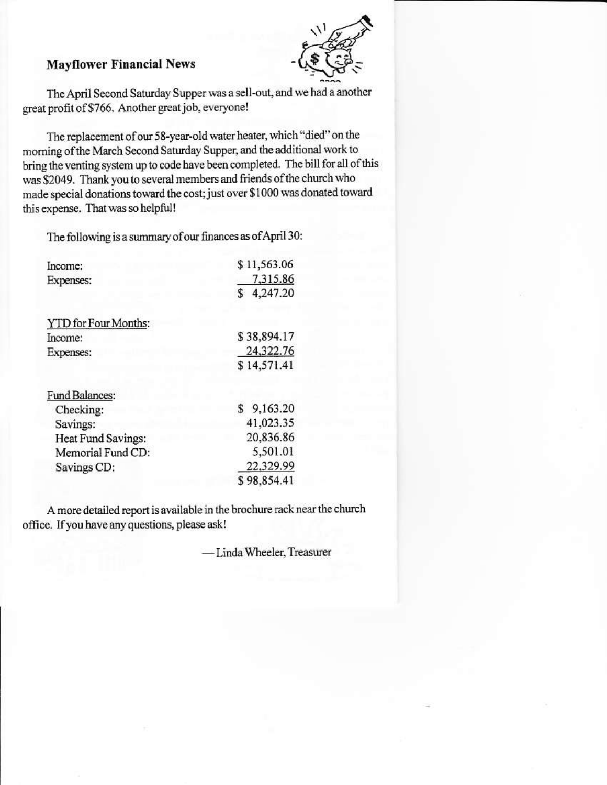

#### **Mayflower Financial News**

The April Second Saturday Supper was a sell-out, and we had a another great profit of \$766. Another great job, everyone!

The replacement of our 58-year-old water heater, which "died" on the morning of the March Second Saturday Supper, and the additional work to bring the venting system up to code have been completed. The bill for all of this was \$2049. Thank you to several members and friends of the church who made special donations toward the cost; just over \$1000 was donated toward this expense. That was so helpful!

The following is a summary of our finances as of April 30:

| \$11,563.06 |
|-------------|
| 7,315.86    |
| \$4,247.20  |
|             |
| \$38,894.17 |
| 24,322.76   |
| \$14,571.41 |
|             |
| \$9,163.20  |
| 41,023.35   |
| 20,836.86   |
| 5,501.01    |
| 22,329.99   |
| \$98,854.41 |
|             |

A more detailed report is available in the brochure rack near the church office. If you have any questions, please ask!

-Linda Wheeler, Treasurer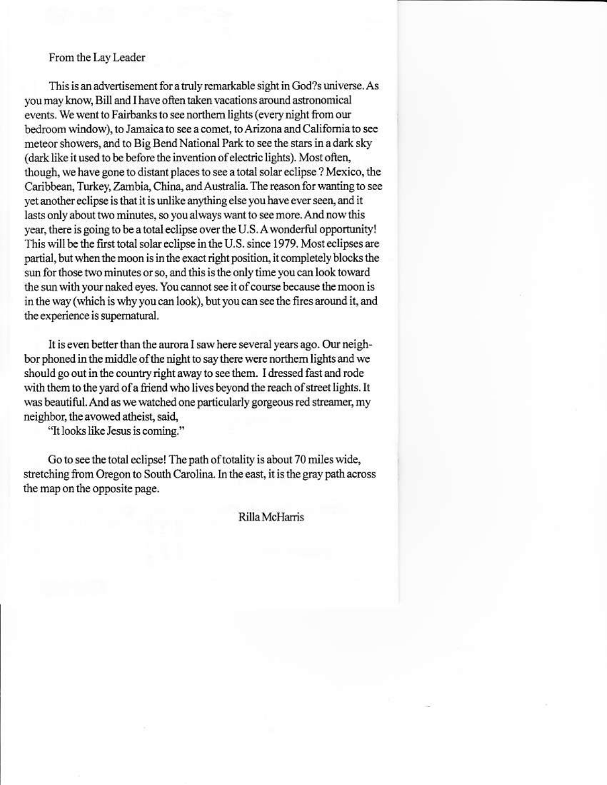#### From the Lay Leader

This is an advertisement for a truly remarkable sight in God?s universe. As you may know, Bill and I have often taken vacations around astronomical events. We went to Fairbanks to see northern lights (every night from our bedroom window), to Jamaica to see a comet, to Arizona and California to see meteor showers, and to Big Bend National Park to see the stars in a dark sky (dark like it used to be before the invention of electric lights). Most often, though, we have gone to distant places to see a total solar eclipse ? Mexico, the Caribbean, Turkey, Zambia, China, and Australia. The reason for wanting to see yet another eclipse is that it is unlike anything else you have ever seen, and it lasts only about two minutes, so you always want to see more. And now this year, there is going to be a total eclipse over the U.S. A wonderful opportunity! This will be the first total solar eclipse in the U.S. since 1979. Most eclipses are partial, but when the moon is in the exact right position, it completely blocks the sun for those two minutes or so, and this is the only time you can look toward the sun with your naked eyes. You cannot see it of course because the moon is in the way (which is why you can look), but you can see the fires around it, and the experience is supernatural.

It is even better than the aurora I saw here several years ago. Our neighbor phoned in the middle of the night to say there were northern lights and we should go out in the country right away to see them. I dressed fast and rode with them to the yard of a friend who lives beyond the reach of street lights. It was beautiful. And as we watched one particularly gorgeous red streamer, my neighbor, the avowed atheist, said,

"It looks like Jesus is coming."

Go to see the total eclipse! The path of totality is about 70 miles wide, stretching from Oregon to South Carolina. In the east, it is the gray path across the map on the opposite page.

Rilla McHarris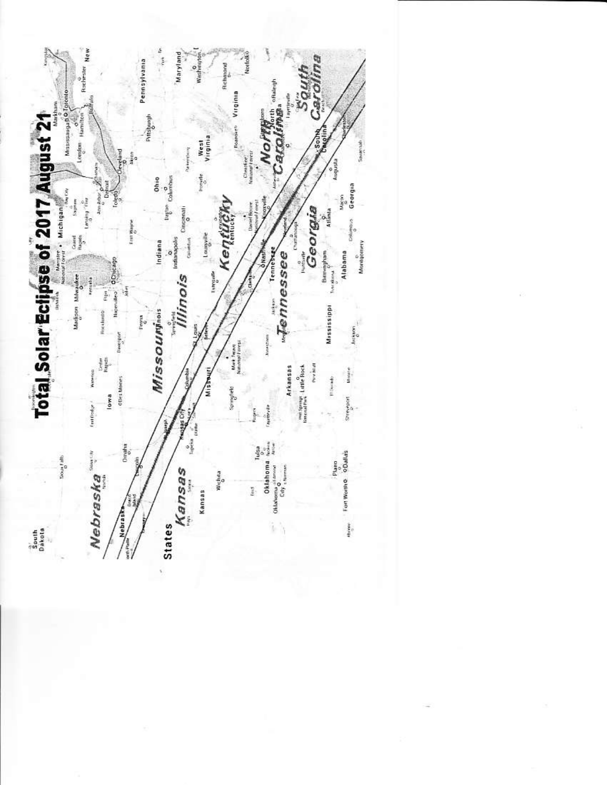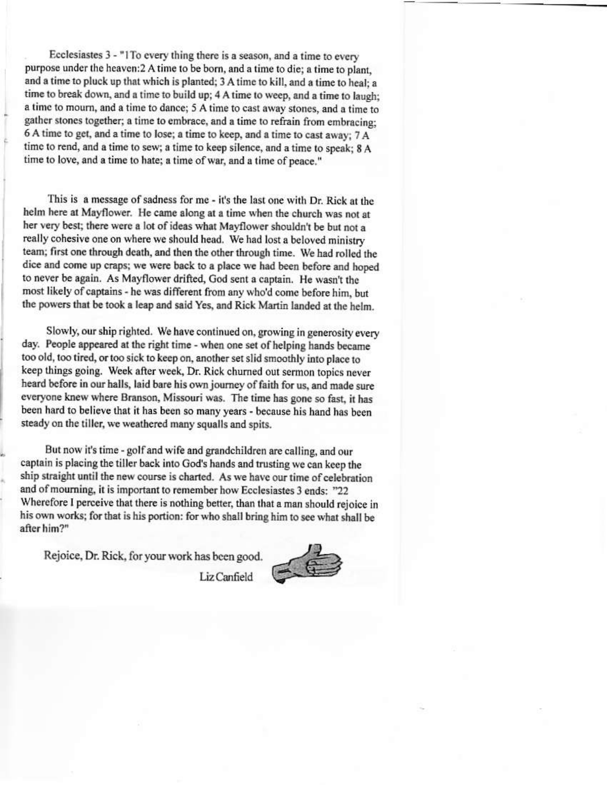Ecclesiastes 3 - "1To every thing there is a season, and a time to every purpose under the heaven: 2 A time to be born, and a time to die; a time to plant, and a time to pluck up that which is planted; 3 A time to kill, and a time to heal; a time to break down, and a time to build up; 4 A time to weep, and a time to laugh; a time to mourn, and a time to dance; 5 A time to cast away stones, and a time to gather stones together; a time to embrace, and a time to refrain from embracing: 6 A time to get, and a time to lose; a time to keep, and a time to cast away; 7 A time to rend, and a time to sew; a time to keep silence, and a time to speak; 8 A time to love, and a time to hate; a time of war, and a time of peace."

This is a message of sadness for me - it's the last one with Dr. Rick at the helm here at Mayflower. He came along at a time when the church was not at her very best; there were a lot of ideas what Mayflower shouldn't be but not a really cohesive one on where we should head. We had lost a beloved ministry team; first one through death, and then the other through time. We had rolled the dice and come up craps; we were back to a place we had been before and hoped to never be again. As Mayflower drifted, God sent a captain. He wasn't the most likely of captains - he was different from any who'd come before him, but the powers that be took a leap and said Yes, and Rick Martin landed at the helm.

Slowly, our ship righted. We have continued on, growing in generosity every day. People appeared at the right time - when one set of helping hands became too old, too tired, or too sick to keep on, another set slid smoothly into place to keep things going. Week after week, Dr. Rick churned out sermon topics never heard before in our halls, laid bare his own journey of faith for us, and made sure everyone knew where Branson, Missouri was. The time has gone so fast, it has been hard to believe that it has been so many years - because his hand has been steady on the tiller, we weathered many squalls and spits.

But now it's time - golf and wife and grandchildren are calling, and our captain is placing the tiller back into God's hands and trusting we can keep the ship straight until the new course is charted. As we have our time of celebration and of mourning, it is important to remember how Ecclesiastes 3 ends: "22 Wherefore I perceive that there is nothing better, than that a man should rejoice in his own works; for that is his portion: for who shall bring him to see what shall be after him?"

Rejoice, Dr. Rick, for your work has been good.



Liz Canfield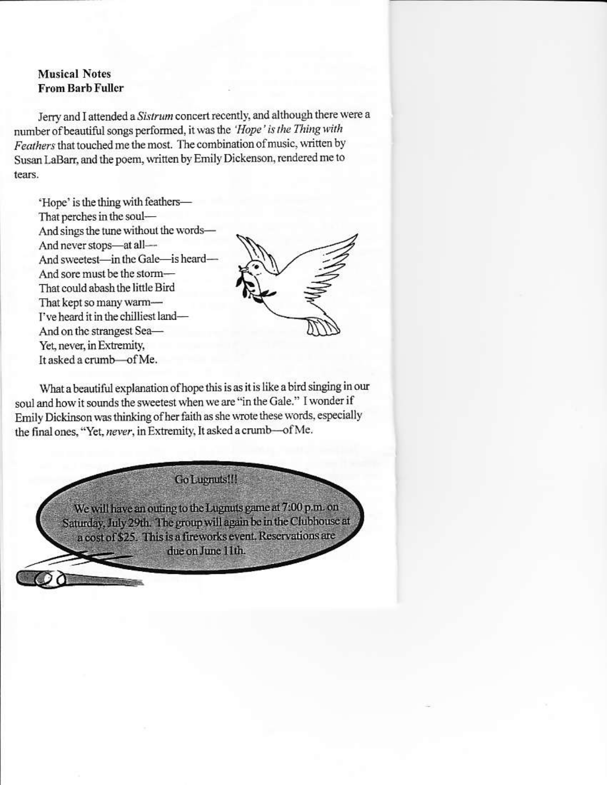#### **Musical Notes From Barb Fuller**

Jerry and I attended a Sistrum concert recently, and although there were a number of beautiful songs performed, it was the 'Hope' is the Thing with Feathers that touched me the most. The combination of music, written by Susan LaBarr, and the poem, written by Emily Dickenson, rendered me to tears.

'Hope' is the thing with feathers-That nerches in the soul-And sings the tune without the words-And never stops-at all-And sweetest-in the Gale-is heard-And sore must be the storm-That could abash the little Bird That kept so many warm-I've heard it in the chilliest land-And on the strangest Sea-Yet, never, in Extremity, It asked a crumb-of Me.



What a beautiful explanation of hope this is as it is like a bird singing in our soul and how it sounds the sweetest when we are "in the Gale." I wonder if Emily Dickinson was thinking of her faith as she wrote these words, especially the final ones, "Yet, never, in Extremity, It asked a crumb-of Me.